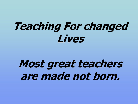# **Teaching For changed Lives**

# **Most great teachers are made not born.**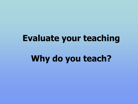### **Evaluate your teaching**

## **Why do you teach?**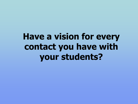## **Have a vision for every contact you have with your students?**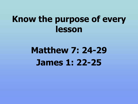### **Know the purpose of every lesson**

## **Matthew 7: 24-29 James 1: 22-25**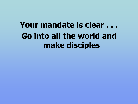## **Your mandate is clear . . . Go into all the world and make disciples**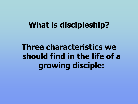#### **What is discipleship?**

**Three characteristics we should find in the life of a growing disciple:**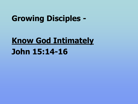#### **Growing Disciples -**

## **Know God Intimately John 15:14-16**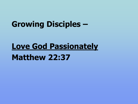#### **Growing Disciples –**

### **Love God Passionately**

#### **Matthew 22:37**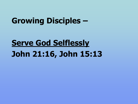#### **Growing Disciples –**

## **Serve God Selflessly John 21:16, John 15:13**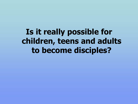**Is it really possible for children, teens and adults to become disciples?**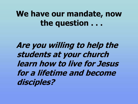#### **We have our mandate, now the question . . .**

 **Are you willing to help the students at your church learn how to live for Jesus for a lifetime and become disciples?**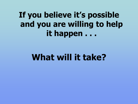**If you believe it's possible and you are willing to help it happen . . .**

### **What will it take?**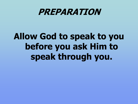#### **PREPARATION**

## **Allow God to speak to you before you ask Him to speak through you.**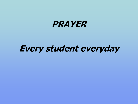

#### **Every student everyday**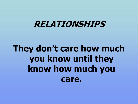#### **RELATIONSHIPS**

## **They don't care how much you know until they know how much you care.**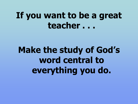**Make the study of God's word central to everything you do.**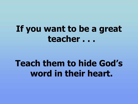## **Teach them to hide God's word in their heart.**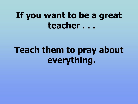## **Teach them to pray about everything.**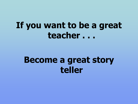#### **Become a great story teller**